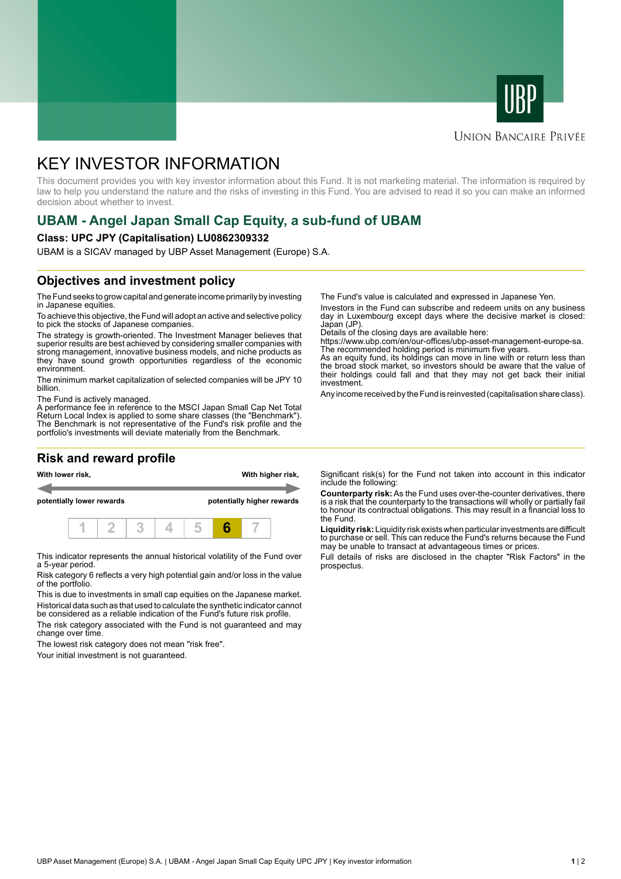



#### **UNION BANCAIRE PRIVÉE**

# KEY INVESTOR INFORMATION

This document provides you with key investor information about this Fund. It is not marketing material. The information is required by law to help you understand the nature and the risks of investing in this Fund. You are advised to read it so you can make an informed decision about whether to invest.

## **UBAM - Angel Japan Small Cap Equity, a sub-fund of UBAM**

#### **Class: UPC JPY (Capitalisation) LU0862309332**

UBAM is a SICAV managed by UBP Asset Management (Europe) S.A.

### **Objectives and investment policy**

The Fund seeks to grow capital and generate income primarily by investing in Japanese equities.

To achieve this objective, the Fund will adopt an active and selective policy to pick the stocks of Japanese companies.

The strategy is growth-oriented. The Investment Manager believes that superior results are best achieved by considering smaller companies with strong management, innovative business models, and niche products as they have sound growth opportunities regardless of the economic environment.

The minimum market capitalization of selected companies will be JPY 10 billion.

The Fund is actively managed.

A performance fee in reference to the MSCI Japan Small Cap Net Total Return Local Index is applied to some share classes (the "Benchmark"). The Benchmark is not representative of the Fund's risk profile and the portfolio's investments will deviate materially from the Benchmark.

### **Risk and reward profile**



This indicator represents the annual historical volatility of the Fund over a 5-year period.

Risk category 6 reflects a very high potential gain and/or loss in the value of the portfolio.

This is due to investments in small cap equities on the Japanese market. Historical data such as that used to calculate the synthetic indicator cannot be considered as a reliable indication of the Fund's future risk profile.

The risk category associated with the Fund is not guaranteed and may change over time.

The lowest risk category does not mean "risk free".

Your initial investment is not guaranteed.

The Fund's value is calculated and expressed in Japanese Yen.

Investors in the Fund can subscribe and redeem units on any business day in Luxembourg except days where the decisive market is closed: Japan (JP).

Details of the closing days are available here:

https://www.ubp.com/en/our-offices/ubp-asset-management-europe-sa. The recommended holding period is minimum five years.

As an equity fund, its holdings can move in line with or return less than the broad stock market, so investors should be aware that the value of their holdings could fall and that they may not get back their initial investment.

Any income received by the Fund is reinvested (capitalisation share class).

Significant risk(s) for the Fund not taken into account in this indicator include the following:

**Counterparty risk:** As the Fund uses over-the-counter derivatives, there is a risk that the counterparty to the transactions will wholly or partially fail to honour its contractual obligations. This may result in a financial loss to the Fund.

**Liquidity risk:** Liquidity risk exists when particular investments are difficult to purchase or sell. This can reduce the Fund's returns because the Fund may be unable to transact at advantageous times or prices.

Full details of risks are disclosed in the chapter "Risk Factors" in the prospectus.